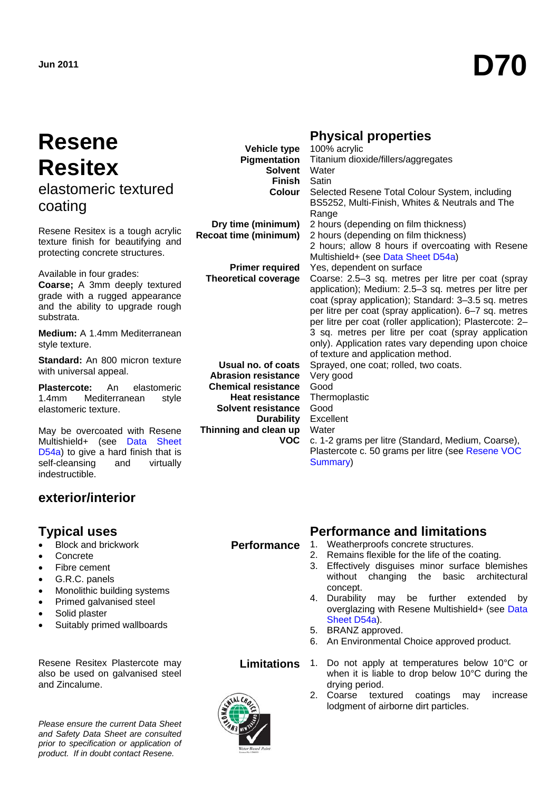# **Resene Resitex** elastomeric textured coating

Resene Resitex is a tough acrylic texture finish for beautifying and protecting concrete structures.

Available in four grades:

**Coarse;** A 3mm deeply textured grade with a rugged appearance and the ability to upgrade rough substrata.

**Medium:** A 1.4mm Mediterranean style texture.

**Standard:** An 800 micron texture with universal appeal.

**Plastercote:** An elastomeric 1.4mm Mediterranean style elastomeric texture.

May be overcoated with Resene Multishield+ (see [Data Sheet](http://www.resene.co.nz/archspec/datashts/d54a_Multishield_Glaze.pdf)  [D54a\)](http://www.resene.co.nz/archspec/datashts/d54a_Multishield_Glaze.pdf) to give a hard finish that is self-cleansing and virtually indestructible.

# **exterior/interior**

- Block and brickwork
- Concrete
- Fibre cement
- G.R.C. panels
- Monolithic building systems
- Primed galvanised steel
- Solid plaster
- Suitably primed wallboards

Resene Resitex Plastercote may also be used on galvanised steel and Zincalume.

*Please ensure the current Data Sheet and Safety Data Sheet are consulted prior to specification or application of product. If in doubt contact Resene.*



| Vehicle type                 | 100% acrylic                                             |
|------------------------------|----------------------------------------------------------|
| Pigmentation                 | Titanium dioxide/fillers/aggregates                      |
| <b>Solvent</b>               | Water                                                    |
| <b>Finish</b>                | Satin                                                    |
| <b>Colour</b>                | Selected Resene Total Colour System, including           |
|                              | BS5252, Multi-Finish, Whites & Neutrals and The          |
|                              | Range                                                    |
| Dry time (minimum)           | 2 hours (depending on film thickness)                    |
| <b>Recoat time (minimum)</b> | 2 hours (depending on film thickness)                    |
|                              | 2 hours; allow 8 hours if overcoating with Resene        |
|                              | Multishield+ (see Data Sheet D54a)                       |
| <b>Primer required</b>       | Yes, dependent on surface                                |
| <b>Theoretical coverage</b>  | Coarse: 2.5-3 sq. metres per litre per coat (spray       |
|                              | application); Medium: 2.5-3 sq. metres per litre per     |
|                              | coat (spray application); Standard: 3-3.5 sq. metres     |
|                              | per litre per coat (spray application). 6-7 sq. metres   |
|                              | per litre per coat (roller application); Plastercote: 2- |
|                              | 3 sq. metres per litre per coat (spray application       |
|                              | only). Application rates vary depending upon choice      |
|                              | of texture and application method.                       |
| Usual no. of coats           | Sprayed, one coat; rolled, two coats.                    |
| <b>Abrasion resistance</b>   | Very good                                                |
| <b>Chemical resistance</b>   | Good                                                     |
| <b>Heat resistance</b>       | Thermoplastic                                            |
| <b>Solvent resistance</b>    | Good                                                     |
| <b>Durability</b>            | Excellent                                                |
| Thinning and clean up        | Water                                                    |
| <b>VOC</b>                   | c. 1-2 grams per litre (Standard, Medium, Coarse),       |
|                              | Plastercote c. 50 grams per litre (see Resene VOC        |
|                              | Summary)                                                 |

# **Typical uses Community Community Performance and limitations**

- **Performance** 1. Weatherproofs concrete structures.<br>2. Remains flexible for the life of the co
	- Remains flexible for the life of the coating.
	- 3. Effectively disguises minor surface blemishes without changing the basic architectural concept.
	- 4. Durability may be further extended by overglazing with Resene Multishield+ (see [Data](http://www.resene.co.nz/archspec/datashts/d54a_Multishield_Glaze.pdf)  [Sheet D54a\)](http://www.resene.co.nz/archspec/datashts/d54a_Multishield_Glaze.pdf).
	- 5. BRANZ approved.
	- 6. An Environmental Choice approved product.



- **Limitations** 1. Do not apply at temperatures below 10°C or when it is liable to drop below 10°C during the drying period.
	- 2. Coarse textured coatings may increase lodgment of airborne dirt particles.